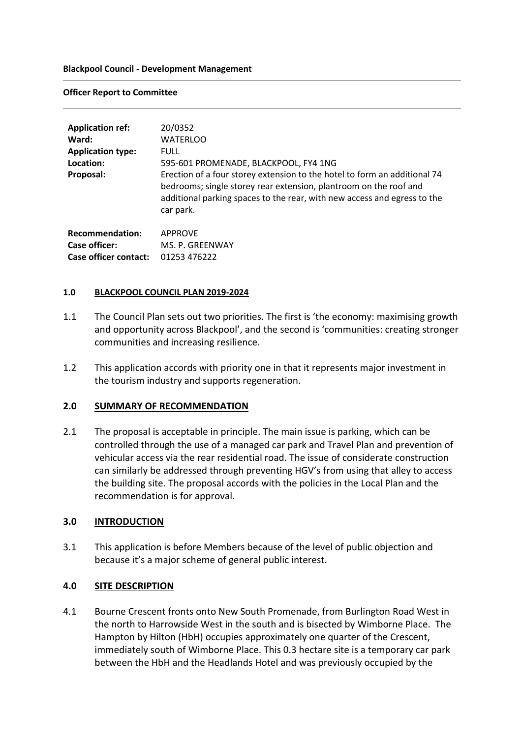#### **Blackpool Council - Development Management**

#### **Officer Report to Committee**

| <b>Application ref:</b><br>Ward:<br><b>Application type:</b><br>Location:<br>Proposal: | 20/0352<br><b>WATERLOO</b><br><b>FULL</b><br>595-601 PROMENADE, BLACKPOOL, FY4 1NG<br>Erection of a four storey extension to the hotel to form an additional 74<br>bedrooms; single storey rear extension, plantroom on the roof and<br>additional parking spaces to the rear, with new access and egress to the<br>car park. |
|----------------------------------------------------------------------------------------|-------------------------------------------------------------------------------------------------------------------------------------------------------------------------------------------------------------------------------------------------------------------------------------------------------------------------------|
| <b>Recommendation:</b><br>Case officer:<br>Case officer contact:                       | <b>APPROVE</b><br>MS. P. GREENWAY<br>01253 476222                                                                                                                                                                                                                                                                             |

### **1.0 BLACKPOOL COUNCIL PLAN 2019-2024**

- 1.1 The Council Plan sets out two priorities. The first is 'the economy: maximising growth and opportunity across Blackpool', and the second is 'communities: creating stronger communities and increasing resilience.
- 1.2 This application accords with priority one in that it represents major investment in the tourism industry and supports regeneration.

### **2.0 SUMMARY OF RECOMMENDATION**

2.1 The proposal is acceptable in principle. The main issue is parking, which can be controlled through the use of a managed car park and Travel Plan and prevention of vehicular access via the rear residential road. The issue of considerate construction can similarly be addressed through preventing HGV's from using that alley to access the building site. The proposal accords with the policies in the Local Plan and the recommendation is for approval.

### **3.0 INTRODUCTION**

3.1 This application is before Members because of the level of public objection and because it's a major scheme of general public interest.

### **4.0 SITE DESCRIPTION**

4.1 Bourne Crescent fronts onto New South Promenade, from Burlington Road West in the north to Harrowside West in the south and is bisected by Wimborne Place. The Hampton by Hilton (HbH) occupies approximately one quarter of the Crescent, immediately south of Wimborne Place. This 0.3 hectare site is a temporary car park between the HbH and the Headlands Hotel and was previously occupied by the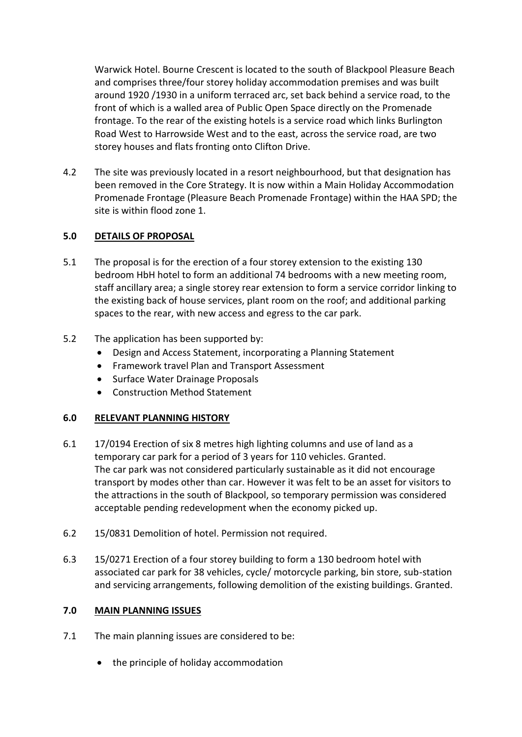Warwick Hotel. Bourne Crescent is located to the south of Blackpool Pleasure Beach and comprises three/four storey holiday accommodation premises and was built around 1920 /1930 in a uniform terraced arc, set back behind a service road, to the front of which is a walled area of Public Open Space directly on the Promenade frontage. To the rear of the existing hotels is a service road which links Burlington Road West to Harrowside West and to the east, across the service road, are two storey houses and flats fronting onto Clifton Drive.

4.2 The site was previously located in a resort neighbourhood, but that designation has been removed in the Core Strategy. It is now within a Main Holiday Accommodation Promenade Frontage (Pleasure Beach Promenade Frontage) within the HAA SPD; the site is within flood zone 1.

# **5.0 DETAILS OF PROPOSAL**

- 5.1 The proposal is for the erection of a four storey extension to the existing 130 bedroom HbH hotel to form an additional 74 bedrooms with a new meeting room, staff ancillary area; a single storey rear extension to form a service corridor linking to the existing back of house services, plant room on the roof; and additional parking spaces to the rear, with new access and egress to the car park.
- 5.2 The application has been supported by:
	- Design and Access Statement, incorporating a Planning Statement
	- Framework travel Plan and Transport Assessment
	- Surface Water Drainage Proposals
	- Construction Method Statement

# **6.0 RELEVANT PLANNING HISTORY**

- 6.1 17/0194 Erection of six 8 metres high lighting columns and use of land as a temporary car park for a period of 3 years for 110 vehicles. Granted. The car park was not considered particularly sustainable as it did not encourage transport by modes other than car. However it was felt to be an asset for visitors to the attractions in the south of Blackpool, so temporary permission was considered acceptable pending redevelopment when the economy picked up.
- 6.2 15/0831 Demolition of hotel. Permission not required.
- 6.3 15/0271 Erection of a four storey building to form a 130 bedroom hotel with associated car park for 38 vehicles, cycle/ motorcycle parking, bin store, sub-station and servicing arrangements, following demolition of the existing buildings. Granted.

# **7.0 MAIN PLANNING ISSUES**

- 7.1 The main planning issues are considered to be:
	- the principle of holiday accommodation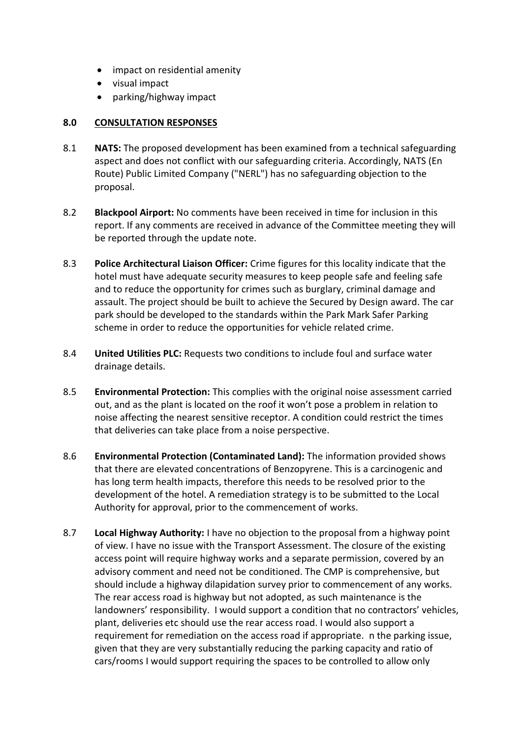- impact on residential amenity
- visual impact
- parking/highway impact

## **8.0 CONSULTATION RESPONSES**

- 8.1 **NATS:** The proposed development has been examined from a technical safeguarding aspect and does not conflict with our safeguarding criteria. Accordingly, NATS (En Route) Public Limited Company ("NERL") has no safeguarding objection to the proposal.
- 8.2 **Blackpool Airport:** No comments have been received in time for inclusion in this report. If any comments are received in advance of the Committee meeting they will be reported through the update note.
- 8.3 **Police Architectural Liaison Officer:** Crime figures for this locality indicate that the hotel must have adequate security measures to keep people safe and feeling safe and to reduce the opportunity for crimes such as burglary, criminal damage and assault. The project should be built to achieve the Secured by Design award. The car park should be developed to the standards within the Park Mark Safer Parking scheme in order to reduce the opportunities for vehicle related crime.
- 8.4 **United Utilities PLC:** Requests two conditions to include foul and surface water drainage details.
- 8.5 **Environmental Protection:** This complies with the original noise assessment carried out, and as the plant is located on the roof it won't pose a problem in relation to noise affecting the nearest sensitive receptor. A condition could restrict the times that deliveries can take place from a noise perspective.
- 8.6 **Environmental Protection (Contaminated Land):** The information provided shows that there are elevated concentrations of Benzopyrene. This is a carcinogenic and has long term health impacts, therefore this needs to be resolved prior to the development of the hotel. A remediation strategy is to be submitted to the Local Authority for approval, prior to the commencement of works.
- 8.7 **Local Highway Authority:** I have no objection to the proposal from a highway point of view. I have no issue with the Transport Assessment. The closure of the existing access point will require highway works and a separate permission, covered by an advisory comment and need not be conditioned. The CMP is comprehensive, but should include a highway dilapidation survey prior to commencement of any works. The rear access road is highway but not adopted, as such maintenance is the landowners' responsibility. I would support a condition that no contractors' vehicles, plant, deliveries etc should use the rear access road. I would also support a requirement for remediation on the access road if appropriate. n the parking issue, given that they are very substantially reducing the parking capacity and ratio of cars/rooms I would support requiring the spaces to be controlled to allow only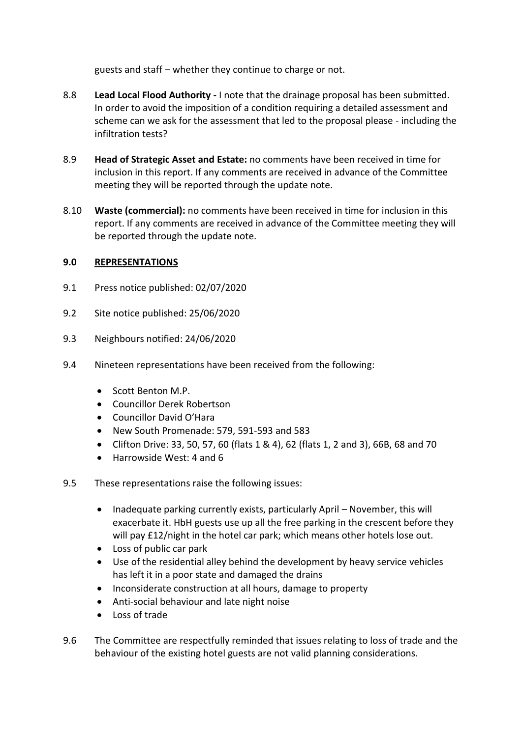guests and staff – whether they continue to charge or not.

- 8.8 **Lead Local Flood Authority -** I note that the drainage proposal has been submitted. In order to avoid the imposition of a condition requiring a detailed assessment and scheme can we ask for the assessment that led to the proposal please - including the infiltration tests?
- 8.9 **Head of Strategic Asset and Estate:** no comments have been received in time for inclusion in this report. If any comments are received in advance of the Committee meeting they will be reported through the update note.
- 8.10 **Waste (commercial):** no comments have been received in time for inclusion in this report. If any comments are received in advance of the Committee meeting they will be reported through the update note.

# **9.0 REPRESENTATIONS**

- 9.1 Press notice published: 02/07/2020
- 9.2 Site notice published: 25/06/2020
- 9.3 Neighbours notified: 24/06/2020
- 9.4 Nineteen representations have been received from the following:
	- Scott Benton M.P.
	- Councillor Derek Robertson
	- Councillor David O'Hara
	- New South Promenade: 579, 591-593 and 583
	- Clifton Drive: 33, 50, 57, 60 (flats 1 & 4), 62 (flats 1, 2 and 3), 66B, 68 and 70
	- Harrowside West: 4 and 6
- 9.5 These representations raise the following issues:
	- Inadequate parking currently exists, particularly April November, this will exacerbate it. HbH guests use up all the free parking in the crescent before they will pay £12/night in the hotel car park; which means other hotels lose out.
	- Loss of public car park
	- Use of the residential alley behind the development by heavy service vehicles has left it in a poor state and damaged the drains
	- Inconsiderate construction at all hours, damage to property
	- Anti-social behaviour and late night noise
	- Loss of trade
- 9.6 The Committee are respectfully reminded that issues relating to loss of trade and the behaviour of the existing hotel guests are not valid planning considerations.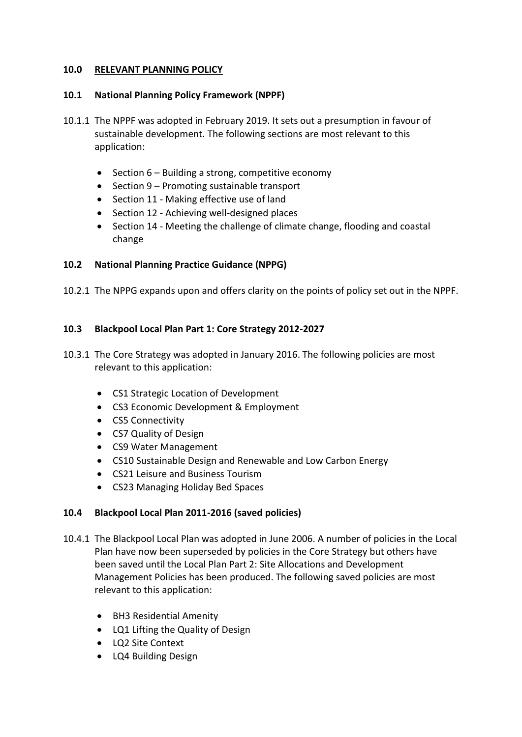## **10.0 RELEVANT PLANNING POLICY**

## **10.1 National Planning Policy Framework (NPPF)**

- 10.1.1 The NPPF was adopted in February 2019. It sets out a presumption in favour of sustainable development. The following sections are most relevant to this application:
	- $\bullet$  Section 6 Building a strong, competitive economy
	- Section 9 Promoting sustainable transport
	- Section 11 Making effective use of land
	- Section 12 Achieving well-designed places
	- Section 14 Meeting the challenge of climate change, flooding and coastal change

## **10.2 National Planning Practice Guidance (NPPG)**

10.2.1 The NPPG expands upon and offers clarity on the points of policy set out in the NPPF.

## **10.3 Blackpool Local Plan Part 1: Core Strategy 2012-2027**

- 10.3.1 The Core Strategy was adopted in January 2016. The following policies are most relevant to this application:
	- CS1 Strategic Location of Development
	- CS3 Economic Development & Employment
	- CS5 Connectivity
	- CS7 Quality of Design
	- CS9 Water Management
	- CS10 Sustainable Design and Renewable and Low Carbon Energy
	- CS21 Leisure and Business Tourism
	- CS23 Managing Holiday Bed Spaces

### **10.4 Blackpool Local Plan 2011-2016 (saved policies)**

- 10.4.1 The Blackpool Local Plan was adopted in June 2006. A number of policies in the Local Plan have now been superseded by policies in the Core Strategy but others have been saved until the Local Plan Part 2: Site Allocations and Development Management Policies has been produced. The following saved policies are most relevant to this application:
	- BH3 Residential Amenity
	- LQ1 Lifting the Quality of Design
	- LQ2 Site Context
	- LQ4 Building Design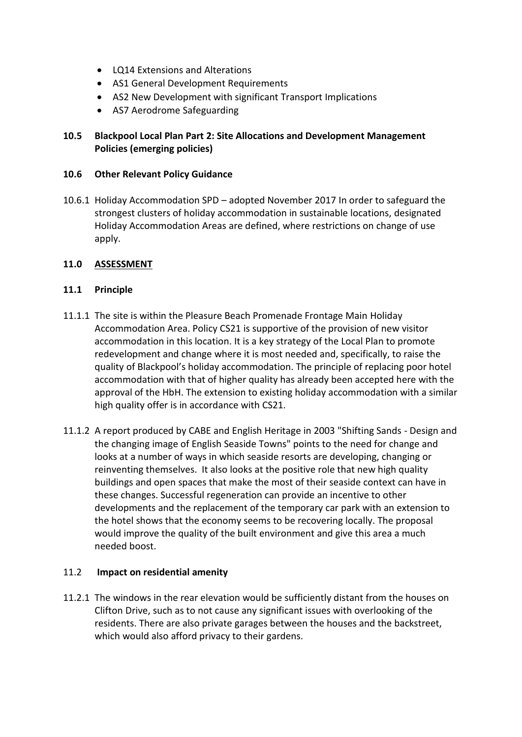- LQ14 Extensions and Alterations
- AS1 General Development Requirements
- AS2 New Development with significant Transport Implications
- AS7 Aerodrome Safeguarding

# **10.5 Blackpool Local Plan Part 2: Site Allocations and Development Management Policies (emerging policies)**

## **10.6 Other Relevant Policy Guidance**

10.6.1 Holiday Accommodation SPD – adopted November 2017 In order to safeguard the strongest clusters of holiday accommodation in sustainable locations, designated Holiday Accommodation Areas are defined, where restrictions on change of use apply.

## **11.0 ASSESSMENT**

## **11.1 Principle**

- 11.1.1 The site is within the Pleasure Beach Promenade Frontage Main Holiday Accommodation Area. Policy CS21 is supportive of the provision of new visitor accommodation in this location. It is a key strategy of the Local Plan to promote redevelopment and change where it is most needed and, specifically, to raise the quality of Blackpool's holiday accommodation. The principle of replacing poor hotel accommodation with that of higher quality has already been accepted here with the approval of the HbH. The extension to existing holiday accommodation with a similar high quality offer is in accordance with CS21.
- 11.1.2 A report produced by CABE and English Heritage in 2003 "Shifting Sands Design and the changing image of English Seaside Towns" points to the need for change and looks at a number of ways in which seaside resorts are developing, changing or reinventing themselves. It also looks at the positive role that new high quality buildings and open spaces that make the most of their seaside context can have in these changes. Successful regeneration can provide an incentive to other developments and the replacement of the temporary car park with an extension to the hotel shows that the economy seems to be recovering locally. The proposal would improve the quality of the built environment and give this area a much needed boost.

# 11.2 **Impact on residential amenity**

11.2.1 The windows in the rear elevation would be sufficiently distant from the houses on Clifton Drive, such as to not cause any significant issues with overlooking of the residents. There are also private garages between the houses and the backstreet, which would also afford privacy to their gardens.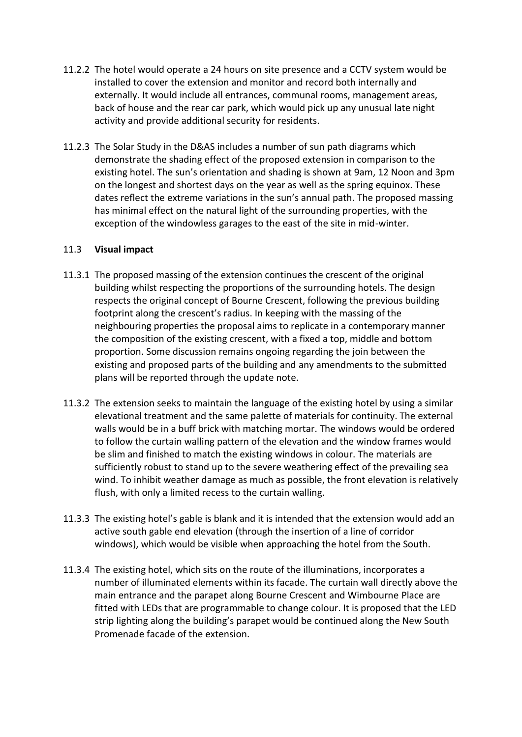- 11.2.2 The hotel would operate a 24 hours on site presence and a CCTV system would be installed to cover the extension and monitor and record both internally and externally. It would include all entrances, communal rooms, management areas, back of house and the rear car park, which would pick up any unusual late night activity and provide additional security for residents.
- 11.2.3 The Solar Study in the D&AS includes a number of sun path diagrams which demonstrate the shading effect of the proposed extension in comparison to the existing hotel. The sun's orientation and shading is shown at 9am, 12 Noon and 3pm on the longest and shortest days on the year as well as the spring equinox. These dates reflect the extreme variations in the sun's annual path. The proposed massing has minimal effect on the natural light of the surrounding properties, with the exception of the windowless garages to the east of the site in mid-winter.

## 11.3 **Visual impact**

- 11.3.1 The proposed massing of the extension continues the crescent of the original building whilst respecting the proportions of the surrounding hotels. The design respects the original concept of Bourne Crescent, following the previous building footprint along the crescent's radius. In keeping with the massing of the neighbouring properties the proposal aims to replicate in a contemporary manner the composition of the existing crescent, with a fixed a top, middle and bottom proportion. Some discussion remains ongoing regarding the join between the existing and proposed parts of the building and any amendments to the submitted plans will be reported through the update note.
- 11.3.2 The extension seeks to maintain the language of the existing hotel by using a similar elevational treatment and the same palette of materials for continuity. The external walls would be in a buff brick with matching mortar. The windows would be ordered to follow the curtain walling pattern of the elevation and the window frames would be slim and finished to match the existing windows in colour. The materials are sufficiently robust to stand up to the severe weathering effect of the prevailing sea wind. To inhibit weather damage as much as possible, the front elevation is relatively flush, with only a limited recess to the curtain walling.
- 11.3.3 The existing hotel's gable is blank and it is intended that the extension would add an active south gable end elevation (through the insertion of a line of corridor windows), which would be visible when approaching the hotel from the South.
- 11.3.4 The existing hotel, which sits on the route of the illuminations, incorporates a number of illuminated elements within its facade. The curtain wall directly above the main entrance and the parapet along Bourne Crescent and Wimbourne Place are fitted with LEDs that are programmable to change colour. It is proposed that the LED strip lighting along the building's parapet would be continued along the New South Promenade facade of the extension.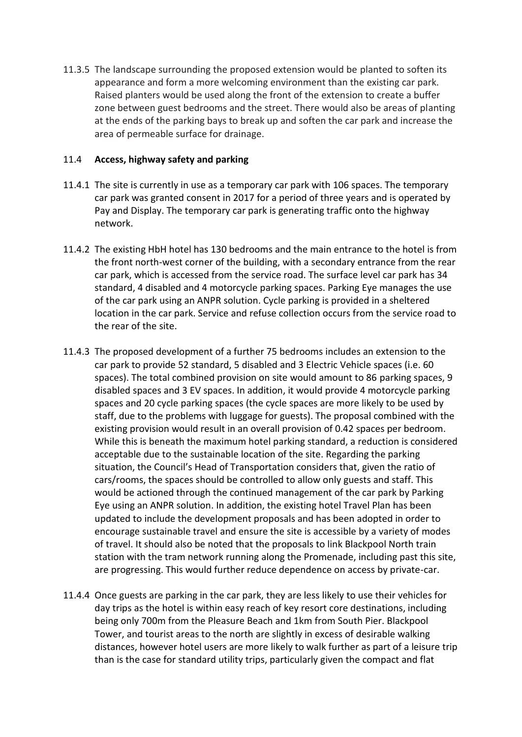11.3.5 The landscape surrounding the proposed extension would be planted to soften its appearance and form a more welcoming environment than the existing car park. Raised planters would be used along the front of the extension to create a buffer zone between guest bedrooms and the street. There would also be areas of planting at the ends of the parking bays to break up and soften the car park and increase the area of permeable surface for drainage.

### 11.4 **Access, highway safety and parking**

- 11.4.1 The site is currently in use as a temporary car park with 106 spaces. The temporary car park was granted consent in 2017 for a period of three years and is operated by Pay and Display. The temporary car park is generating traffic onto the highway network.
- 11.4.2 The existing HbH hotel has 130 bedrooms and the main entrance to the hotel is from the front north-west corner of the building, with a secondary entrance from the rear car park, which is accessed from the service road. The surface level car park has 34 standard, 4 disabled and 4 motorcycle parking spaces. Parking Eye manages the use of the car park using an ANPR solution. Cycle parking is provided in a sheltered location in the car park. Service and refuse collection occurs from the service road to the rear of the site.
- 11.4.3 The proposed development of a further 75 bedrooms includes an extension to the car park to provide 52 standard, 5 disabled and 3 Electric Vehicle spaces (i.e. 60 spaces). The total combined provision on site would amount to 86 parking spaces, 9 disabled spaces and 3 EV spaces. In addition, it would provide 4 motorcycle parking spaces and 20 cycle parking spaces (the cycle spaces are more likely to be used by staff, due to the problems with luggage for guests). The proposal combined with the existing provision would result in an overall provision of 0.42 spaces per bedroom. While this is beneath the maximum hotel parking standard, a reduction is considered acceptable due to the sustainable location of the site. Regarding the parking situation, the Council's Head of Transportation considers that, given the ratio of cars/rooms, the spaces should be controlled to allow only guests and staff. This would be actioned through the continued management of the car park by Parking Eye using an ANPR solution. In addition, the existing hotel Travel Plan has been updated to include the development proposals and has been adopted in order to encourage sustainable travel and ensure the site is accessible by a variety of modes of travel. It should also be noted that the proposals to link Blackpool North train station with the tram network running along the Promenade, including past this site, are progressing. This would further reduce dependence on access by private-car.
- 11.4.4 Once guests are parking in the car park, they are less likely to use their vehicles for day trips as the hotel is within easy reach of key resort core destinations, including being only 700m from the Pleasure Beach and 1km from South Pier. Blackpool Tower, and tourist areas to the north are slightly in excess of desirable walking distances, however hotel users are more likely to walk further as part of a leisure trip than is the case for standard utility trips, particularly given the compact and flat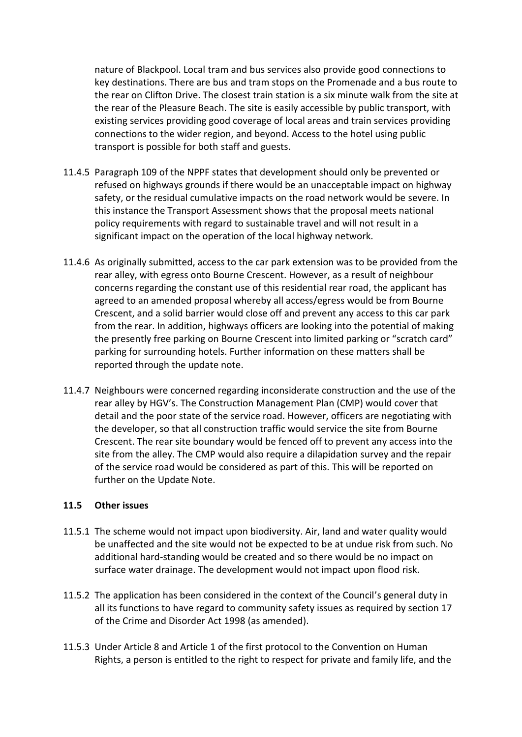nature of Blackpool. Local tram and bus services also provide good connections to key destinations. There are bus and tram stops on the Promenade and a bus route to the rear on Clifton Drive. The closest train station is a six minute walk from the site at the rear of the Pleasure Beach. The site is easily accessible by public transport, with existing services providing good coverage of local areas and train services providing connections to the wider region, and beyond. Access to the hotel using public transport is possible for both staff and guests.

- 11.4.5 Paragraph 109 of the NPPF states that development should only be prevented or refused on highways grounds if there would be an unacceptable impact on highway safety, or the residual cumulative impacts on the road network would be severe. In this instance the Transport Assessment shows that the proposal meets national policy requirements with regard to sustainable travel and will not result in a significant impact on the operation of the local highway network.
- 11.4.6 As originally submitted, access to the car park extension was to be provided from the rear alley, with egress onto Bourne Crescent. However, as a result of neighbour concerns regarding the constant use of this residential rear road, the applicant has agreed to an amended proposal whereby all access/egress would be from Bourne Crescent, and a solid barrier would close off and prevent any access to this car park from the rear. In addition, highways officers are looking into the potential of making the presently free parking on Bourne Crescent into limited parking or "scratch card" parking for surrounding hotels. Further information on these matters shall be reported through the update note.
- 11.4.7 Neighbours were concerned regarding inconsiderate construction and the use of the rear alley by HGV's. The Construction Management Plan (CMP) would cover that detail and the poor state of the service road. However, officers are negotiating with the developer, so that all construction traffic would service the site from Bourne Crescent. The rear site boundary would be fenced off to prevent any access into the site from the alley. The CMP would also require a dilapidation survey and the repair of the service road would be considered as part of this. This will be reported on further on the Update Note.

### **11.5 Other issues**

- 11.5.1 The scheme would not impact upon biodiversity. Air, land and water quality would be unaffected and the site would not be expected to be at undue risk from such. No additional hard-standing would be created and so there would be no impact on surface water drainage. The development would not impact upon flood risk.
- 11.5.2 The application has been considered in the context of the Council's general duty in all its functions to have regard to community safety issues as required by section 17 of the Crime and Disorder Act 1998 (as amended).
- 11.5.3 Under Article 8 and Article 1 of the first protocol to the Convention on Human Rights, a person is entitled to the right to respect for private and family life, and the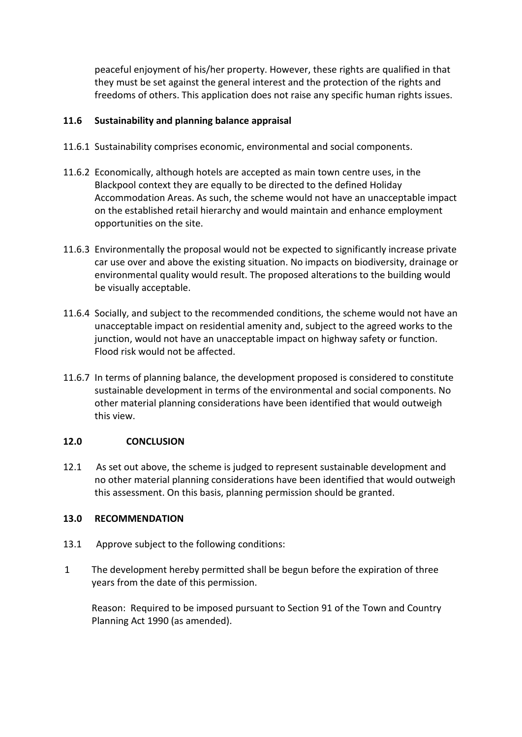peaceful enjoyment of his/her property. However, these rights are qualified in that they must be set against the general interest and the protection of the rights and freedoms of others. This application does not raise any specific human rights issues.

# **11.6 Sustainability and planning balance appraisal**

- 11.6.1 Sustainability comprises economic, environmental and social components.
- 11.6.2 Economically, although hotels are accepted as main town centre uses, in the Blackpool context they are equally to be directed to the defined Holiday Accommodation Areas. As such, the scheme would not have an unacceptable impact on the established retail hierarchy and would maintain and enhance employment opportunities on the site.
- 11.6.3 Environmentally the proposal would not be expected to significantly increase private car use over and above the existing situation. No impacts on biodiversity, drainage or environmental quality would result. The proposed alterations to the building would be visually acceptable.
- 11.6.4 Socially, and subject to the recommended conditions, the scheme would not have an unacceptable impact on residential amenity and, subject to the agreed works to the junction, would not have an unacceptable impact on highway safety or function. Flood risk would not be affected.
- 11.6.7 In terms of planning balance, the development proposed is considered to constitute sustainable development in terms of the environmental and social components. No other material planning considerations have been identified that would outweigh this view.

# **12.0 CONCLUSION**

12.1 As set out above, the scheme is judged to represent sustainable development and no other material planning considerations have been identified that would outweigh this assessment. On this basis, planning permission should be granted.

# **13.0 RECOMMENDATION**

- 13.1 Approve subject to the following conditions:
- 1 The development hereby permitted shall be begun before the expiration of three years from the date of this permission.

Reason: Required to be imposed pursuant to Section 91 of the Town and Country Planning Act 1990 (as amended).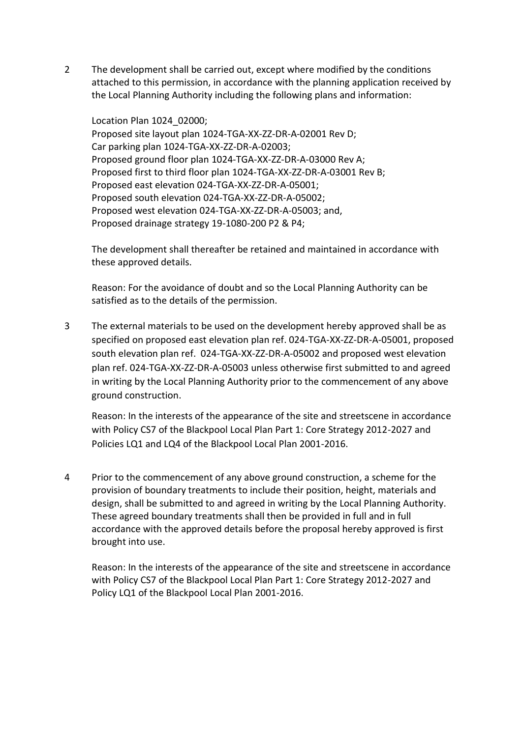2 The development shall be carried out, except where modified by the conditions attached to this permission, in accordance with the planning application received by the Local Planning Authority including the following plans and information:

Location Plan 1024\_02000; Proposed site layout plan 1024-TGA-XX-ZZ-DR-A-02001 Rev D; Car parking plan 1024-TGA-XX-ZZ-DR-A-02003; Proposed ground floor plan 1024-TGA-XX-ZZ-DR-A-03000 Rev A; Proposed first to third floor plan 1024-TGA-XX-ZZ-DR-A-03001 Rev B; Proposed east elevation 024-TGA-XX-ZZ-DR-A-05001; Proposed south elevation 024-TGA-XX-ZZ-DR-A-05002; Proposed west elevation 024-TGA-XX-ZZ-DR-A-05003; and, Proposed drainage strategy 19-1080-200 P2 & P4;

The development shall thereafter be retained and maintained in accordance with these approved details.

Reason: For the avoidance of doubt and so the Local Planning Authority can be satisfied as to the details of the permission.

3 The external materials to be used on the development hereby approved shall be as specified on proposed east elevation plan ref. 024-TGA-XX-ZZ-DR-A-05001, proposed south elevation plan ref. 024-TGA-XX-ZZ-DR-A-05002 and proposed west elevation plan ref. 024-TGA-XX-ZZ-DR-A-05003 unless otherwise first submitted to and agreed in writing by the Local Planning Authority prior to the commencement of any above ground construction.

Reason: In the interests of the appearance of the site and streetscene in accordance with Policy CS7 of the Blackpool Local Plan Part 1: Core Strategy 2012-2027 and Policies LQ1 and LQ4 of the Blackpool Local Plan 2001-2016.

4 Prior to the commencement of any above ground construction, a scheme for the provision of boundary treatments to include their position, height, materials and design, shall be submitted to and agreed in writing by the Local Planning Authority. These agreed boundary treatments shall then be provided in full and in full accordance with the approved details before the proposal hereby approved is first brought into use.

Reason: In the interests of the appearance of the site and streetscene in accordance with Policy CS7 of the Blackpool Local Plan Part 1: Core Strategy 2012-2027 and Policy LQ1 of the Blackpool Local Plan 2001-2016.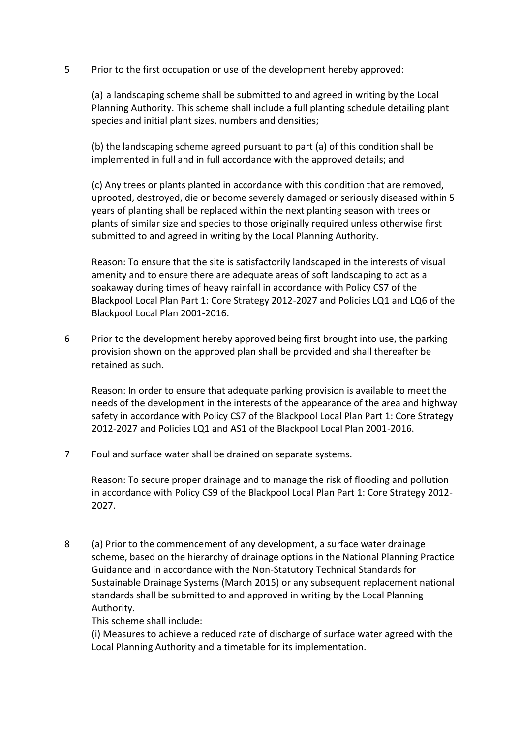5 Prior to the first occupation or use of the development hereby approved:

(a) a landscaping scheme shall be submitted to and agreed in writing by the Local Planning Authority. This scheme shall include a full planting schedule detailing plant species and initial plant sizes, numbers and densities;

(b) the landscaping scheme agreed pursuant to part (a) of this condition shall be implemented in full and in full accordance with the approved details; and

(c) Any trees or plants planted in accordance with this condition that are removed, uprooted, destroyed, die or become severely damaged or seriously diseased within 5 years of planting shall be replaced within the next planting season with trees or plants of similar size and species to those originally required unless otherwise first submitted to and agreed in writing by the Local Planning Authority.

Reason: To ensure that the site is satisfactorily landscaped in the interests of visual amenity and to ensure there are adequate areas of soft landscaping to act as a soakaway during times of heavy rainfall in accordance with Policy CS7 of the Blackpool Local Plan Part 1: Core Strategy 2012-2027 and Policies LQ1 and LQ6 of the Blackpool Local Plan 2001-2016.

6 Prior to the development hereby approved being first brought into use, the parking provision shown on the approved plan shall be provided and shall thereafter be retained as such.

Reason: In order to ensure that adequate parking provision is available to meet the needs of the development in the interests of the appearance of the area and highway safety in accordance with Policy CS7 of the Blackpool Local Plan Part 1: Core Strategy 2012-2027 and Policies LQ1 and AS1 of the Blackpool Local Plan 2001-2016.

7 Foul and surface water shall be drained on separate systems.

Reason: To secure proper drainage and to manage the risk of flooding and pollution in accordance with Policy CS9 of the Blackpool Local Plan Part 1: Core Strategy 2012- 2027.

8 (a) Prior to the commencement of any development, a surface water drainage scheme, based on the hierarchy of drainage options in the National Planning Practice Guidance and in accordance with the Non-Statutory Technical Standards for Sustainable Drainage Systems (March 2015) or any subsequent replacement national standards shall be submitted to and approved in writing by the Local Planning Authority.

This scheme shall include:

(i) Measures to achieve a reduced rate of discharge of surface water agreed with the Local Planning Authority and a timetable for its implementation.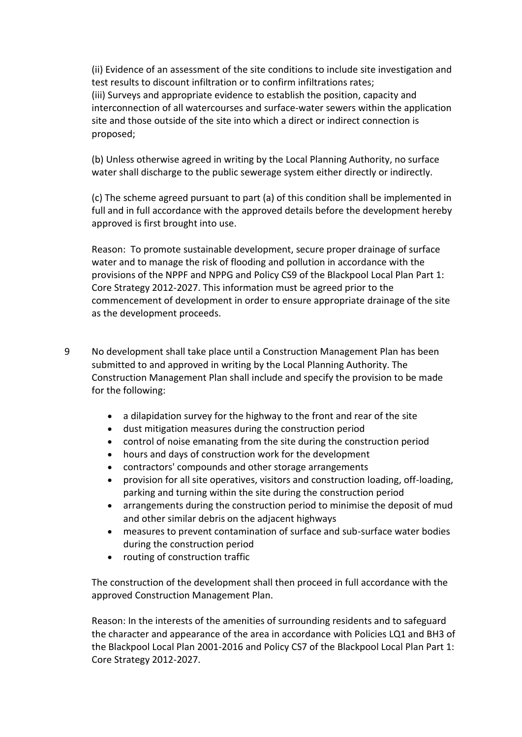(ii) Evidence of an assessment of the site conditions to include site investigation and test results to discount infiltration or to confirm infiltrations rates; (iii) Surveys and appropriate evidence to establish the position, capacity and interconnection of all watercourses and surface-water sewers within the application site and those outside of the site into which a direct or indirect connection is proposed;

(b) Unless otherwise agreed in writing by the Local Planning Authority, no surface water shall discharge to the public sewerage system either directly or indirectly.

(c) The scheme agreed pursuant to part (a) of this condition shall be implemented in full and in full accordance with the approved details before the development hereby approved is first brought into use.

Reason: To promote sustainable development, secure proper drainage of surface water and to manage the risk of flooding and pollution in accordance with the provisions of the NPPF and NPPG and Policy CS9 of the Blackpool Local Plan Part 1: Core Strategy 2012-2027. This information must be agreed prior to the commencement of development in order to ensure appropriate drainage of the site as the development proceeds.

- 9 No development shall take place until a Construction Management Plan has been submitted to and approved in writing by the Local Planning Authority. The Construction Management Plan shall include and specify the provision to be made for the following:
	- a dilapidation survey for the highway to the front and rear of the site
	- dust mitigation measures during the construction period
	- control of noise emanating from the site during the construction period
	- hours and days of construction work for the development
	- contractors' compounds and other storage arrangements
	- provision for all site operatives, visitors and construction loading, off-loading, parking and turning within the site during the construction period
	- arrangements during the construction period to minimise the deposit of mud and other similar debris on the adjacent highways
	- measures to prevent contamination of surface and sub-surface water bodies during the construction period
	- routing of construction traffic

The construction of the development shall then proceed in full accordance with the approved Construction Management Plan.

Reason: In the interests of the amenities of surrounding residents and to safeguard the character and appearance of the area in accordance with Policies LQ1 and BH3 of the Blackpool Local Plan 2001-2016 and Policy CS7 of the Blackpool Local Plan Part 1: Core Strategy 2012-2027.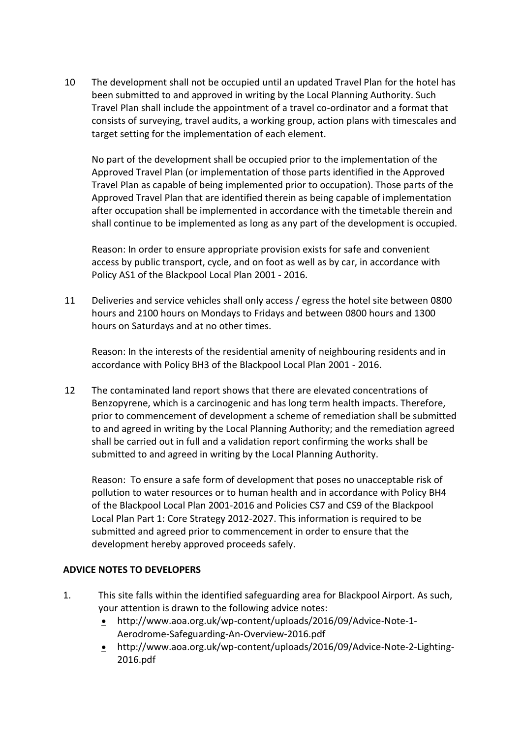10 The development shall not be occupied until an updated Travel Plan for the hotel has been submitted to and approved in writing by the Local Planning Authority. Such Travel Plan shall include the appointment of a travel co-ordinator and a format that consists of surveying, travel audits, a working group, action plans with timescales and target setting for the implementation of each element.

No part of the development shall be occupied prior to the implementation of the Approved Travel Plan (or implementation of those parts identified in the Approved Travel Plan as capable of being implemented prior to occupation). Those parts of the Approved Travel Plan that are identified therein as being capable of implementation after occupation shall be implemented in accordance with the timetable therein and shall continue to be implemented as long as any part of the development is occupied.

Reason: In order to ensure appropriate provision exists for safe and convenient access by public transport, cycle, and on foot as well as by car, in accordance with Policy AS1 of the Blackpool Local Plan 2001 - 2016.

11 Deliveries and service vehicles shall only access / egress the hotel site between 0800 hours and 2100 hours on Mondays to Fridays and between 0800 hours and 1300 hours on Saturdays and at no other times.

Reason: In the interests of the residential amenity of neighbouring residents and in accordance with Policy BH3 of the Blackpool Local Plan 2001 - 2016.

12 The contaminated land report shows that there are elevated concentrations of Benzopyrene, which is a carcinogenic and has long term health impacts. Therefore, prior to commencement of development a scheme of remediation shall be submitted to and agreed in writing by the Local Planning Authority; and the remediation agreed shall be carried out in full and a validation report confirming the works shall be submitted to and agreed in writing by the Local Planning Authority.

Reason: To ensure a safe form of development that poses no unacceptable risk of pollution to water resources or to human health and in accordance with Policy BH4 of the Blackpool Local Plan 2001-2016 and Policies CS7 and CS9 of the Blackpool Local Plan Part 1: Core Strategy 2012-2027. This information is required to be submitted and agreed prior to commencement in order to ensure that the development hereby approved proceeds safely.

# **ADVICE NOTES TO DEVELOPERS**

- 1. This site falls within the identified safeguarding area for Blackpool Airport. As such, your attention is drawn to the following advice notes:
	- http://www.aoa.org.uk/wp-content/uploads/2016/09/Advice-Note-1- Aerodrome-Safeguarding-An-Overview-2016.pdf
	- http://www.aoa.org.uk/wp-content/uploads/2016/09/Advice-Note-2-Lighting-2016.pdf